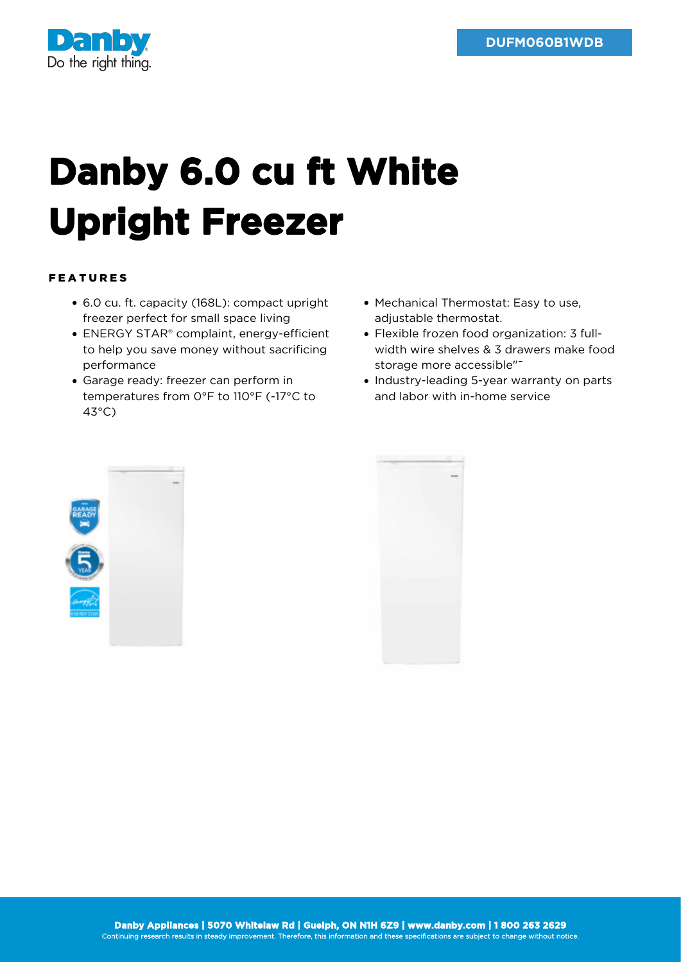

## **Danby 6.0 cu ft White Upright Freezer**

## FEATURES

- 6.0 cu. ft. capacity (168L): compact upright freezer perfect for small space living
- ENERGY STAR® complaint, energy-efficient to help you save money without sacrificing performance
- Garage ready: freezer can perform in temperatures from 0°F to 110°F (-17°C to 43°C)
- Mechanical Thermostat: Easy to use, adjustable thermostat.
- Flexible frozen food organization: 3 fullwidth wire shelves & 3 drawers make food storage more accessible"<sup>-</sup>
- Industry-leading 5-year warranty on parts and labor with in-home service